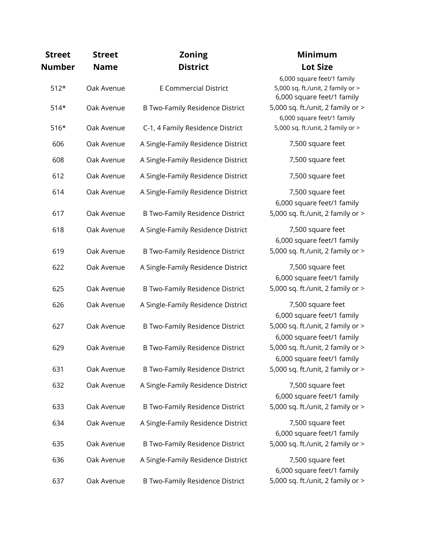| <b>Street</b> | <b>Street</b> | <b>Zoning</b>                          | <b>Minimum</b>                                                                                |
|---------------|---------------|----------------------------------------|-----------------------------------------------------------------------------------------------|
| <b>Number</b> | <b>Name</b>   | <b>District</b>                        | <b>Lot Size</b>                                                                               |
| $512*$        | Oak Avenue    | <b>E</b> Commercial District           | 6,000 square feet/1 family<br>5,000 sq. ft./unit, 2 family or ><br>6,000 square feet/1 family |
| $514*$        | Oak Avenue    | B Two-Family Residence District        | 5,000 sq. ft./unit, 2 family or ><br>6,000 square feet/1 family                               |
| $516*$        | Oak Avenue    | C-1, 4 Family Residence District       | 5,000 sq. ft./unit, 2 family or >                                                             |
| 606           | Oak Avenue    | A Single-Family Residence District     | 7,500 square feet                                                                             |
| 608           | Oak Avenue    | A Single-Family Residence District     | 7,500 square feet                                                                             |
| 612           | Oak Avenue    | A Single-Family Residence District     | 7,500 square feet                                                                             |
| 614           | Oak Avenue    | A Single-Family Residence District     | 7,500 square feet<br>6,000 square feet/1 family                                               |
| 617           | Oak Avenue    | B Two-Family Residence District        | 5,000 sq. ft./unit, 2 family or >                                                             |
| 618           | Oak Avenue    | A Single-Family Residence District     | 7,500 square feet<br>6,000 square feet/1 family                                               |
| 619           | Oak Avenue    | B Two-Family Residence District        | 5,000 sq. ft./unit, 2 family or >                                                             |
| 622           | Oak Avenue    | A Single-Family Residence District     | 7,500 square feet<br>6,000 square feet/1 family                                               |
| 625           | Oak Avenue    | B Two-Family Residence District        | 5,000 sq. ft./unit, 2 family or >                                                             |
| 626           | Oak Avenue    | A Single-Family Residence District     | 7,500 square feet<br>6,000 square feet/1 family                                               |
| 627           | Oak Avenue    | B Two-Family Residence District        | 5,000 sq. ft./unit, 2 family or ><br>6,000 square feet/1 family                               |
| 629           | Oak Avenue    | B Two-Family Residence District        | 5,000 sq. ft./unit, 2 family or ><br>6,000 square feet/1 family                               |
| 631           | Oak Avenue    | <b>B Two-Family Residence District</b> | 5,000 sq. ft./unit, 2 family or >                                                             |
| 632           | Oak Avenue    | A Single-Family Residence District     | 7,500 square feet<br>6,000 square feet/1 family                                               |
| 633           | Oak Avenue    | <b>B Two-Family Residence District</b> | 5,000 sq. ft./unit, 2 family or >                                                             |
| 634           | Oak Avenue    | A Single-Family Residence District     | 7,500 square feet<br>6,000 square feet/1 family                                               |
| 635           | Oak Avenue    | B Two-Family Residence District        | 5,000 sq. ft./unit, 2 family or >                                                             |
| 636           | Oak Avenue    | A Single-Family Residence District     | 7,500 square feet<br>6,000 square feet/1 family                                               |
| 637           | Oak Avenue    | B Two-Family Residence District        | 5,000 sq. ft./unit, 2 family or >                                                             |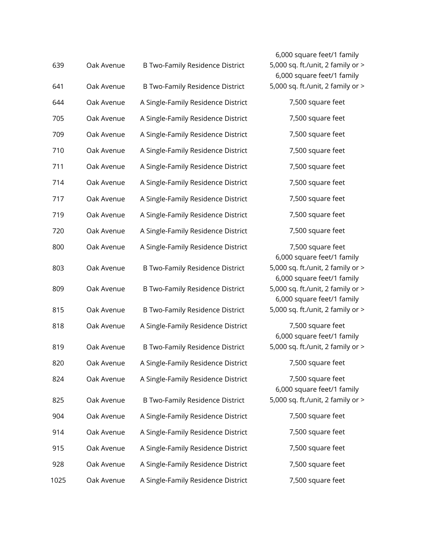| 639  | Oak Avenue | <b>B Two-Family Residence District</b> | 6,000 square feet/1 family<br>5,000 sq. ft./unit, 2 family or ><br>6,000 square feet/1 family |
|------|------------|----------------------------------------|-----------------------------------------------------------------------------------------------|
| 641  | Oak Avenue | B Two-Family Residence District        | 5,000 sq. ft./unit, 2 family or >                                                             |
| 644  | Oak Avenue | A Single-Family Residence District     | 7,500 square feet                                                                             |
| 705  | Oak Avenue | A Single-Family Residence District     | 7,500 square feet                                                                             |
| 709  | Oak Avenue | A Single-Family Residence District     | 7,500 square feet                                                                             |
| 710  | Oak Avenue | A Single-Family Residence District     | 7,500 square feet                                                                             |
| 711  | Oak Avenue | A Single-Family Residence District     | 7,500 square feet                                                                             |
| 714  | Oak Avenue | A Single-Family Residence District     | 7,500 square feet                                                                             |
| 717  | Oak Avenue | A Single-Family Residence District     | 7,500 square feet                                                                             |
| 719  | Oak Avenue | A Single-Family Residence District     | 7,500 square feet                                                                             |
| 720  | Oak Avenue | A Single-Family Residence District     | 7,500 square feet                                                                             |
| 800  | Oak Avenue | A Single-Family Residence District     | 7,500 square feet<br>6,000 square feet/1 family                                               |
| 803  | Oak Avenue | <b>B Two-Family Residence District</b> | 5,000 sq. ft./unit, 2 family or ><br>6,000 square feet/1 family                               |
| 809  | Oak Avenue | <b>B Two-Family Residence District</b> | 5,000 sq. ft./unit, 2 family or ><br>6,000 square feet/1 family                               |
| 815  | Oak Avenue | B Two-Family Residence District        | 5,000 sq. ft./unit, 2 family or >                                                             |
| 818  | Oak Avenue | A Single-Family Residence District     | 7,500 square feet<br>6,000 square feet/1 family                                               |
| 819  | Oak Avenue | B Two-Family Residence District        | 5,000 sq. ft./unit, 2 family or >                                                             |
| 820  | Oak Avenue | A Single-Family Residence District     | 7,500 square feet                                                                             |
| 824  | Oak Avenue | A Single-Family Residence District     | 7,500 square feet<br>6,000 square feet/1 family                                               |
| 825  | Oak Avenue | <b>B Two-Family Residence District</b> | 5,000 sq. ft./unit, 2 family or >                                                             |
| 904  | Oak Avenue | A Single-Family Residence District     | 7,500 square feet                                                                             |
| 914  | Oak Avenue | A Single-Family Residence District     | 7,500 square feet                                                                             |
| 915  | Oak Avenue | A Single-Family Residence District     | 7,500 square feet                                                                             |
| 928  | Oak Avenue | A Single-Family Residence District     | 7,500 square feet                                                                             |
| 1025 | Oak Avenue | A Single-Family Residence District     | 7,500 square feet                                                                             |